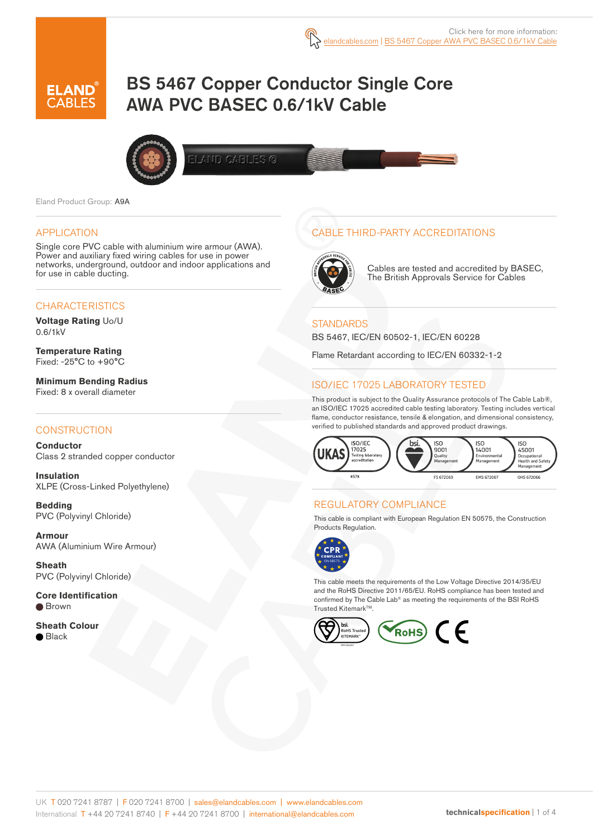# BS 5467 Copper Conductor Single Core AWA PVC BASEC 0.6/1kV Cable



LAND CABLES ©

Eland Product Group: A9A

#### APPLICATION

Single core PVC cable with aluminium wire armour (AWA). Power and auxiliary fixed wiring cables for use in power networks, underground, outdoor and indoor applications and for use in cable ducting.

#### **CHARACTERISTICS**

**Voltage Rating** Uo/U 0.6/1kV

**Temperature Rating** Fixed: -25°C to +90°C

**Minimum Bending Radius**  Fixed: 8 x overall diameter

#### **CONSTRUCTION**

**Conductor** Class 2 stranded copper conductor

**Insulation** XLPE (Cross-Linked Polyethylene)

**Bedding** PVC (Polyvinyl Chloride)

**Armour** AWA (Aluminium Wire Armour)

**Sheath** PVC (Polyvinyl Chloride)

**Core Identification** ● Brown

**Sheath Colour** ● Black

## CABLE THIRD-PARTY ACCREDITATIONS



Cables are tested and accredited by BASEC, The British Approvals Service for Cables

#### **STANDARDS**

BS 5467, IEC/EN 60502-1, IEC/EN 60228

Flame Retardant according to IEC/EN 60332-1-2

## ISO/IEC 17025 LABORATORY TESTED

This product is subject to the Quality Assurance protocols of The Cable Lab®, an ISO/IEC 17025 accredited cable testing laboratory. Testing includes vertical flame, conductor resistance, tensile & elongation, and dimensional consistency, verified to published standards and approved product drawings.



## REGULATORY COMPLIANCE

This cable is compliant with European Regulation EN 50575, the Construction Products Regulation.



This cable meets the requirements of the Low Voltage Directive 2014/35/EU and the RoHS Directive 2011/65/EU. RoHS compliance has been tested and confirmed by The Cable Lab® as meeting the requirements of the BSI RoHS Trusted Kitemark™

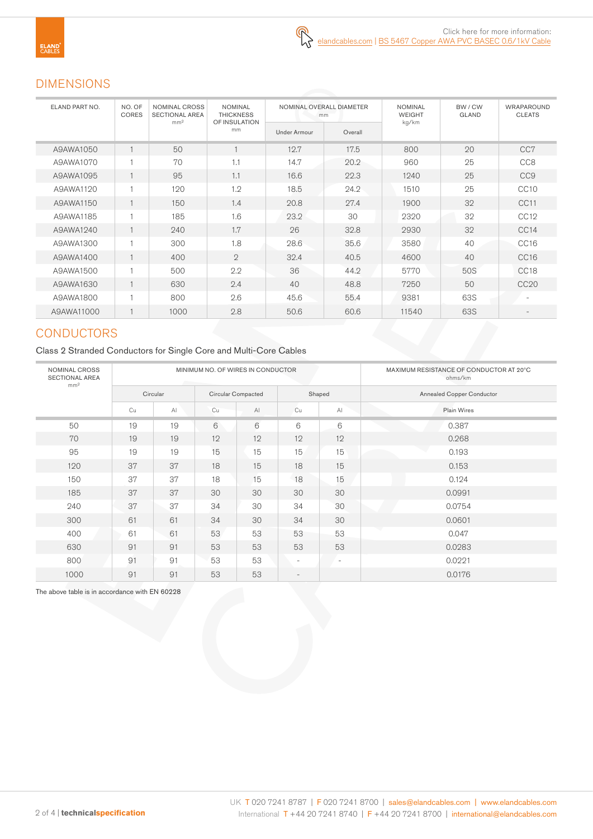# DIMENSIONS

| ELAND PART NO. | NO. OF<br>CORES | <b>NOMINAL CROSS</b><br><b>SECTIONAL AREA</b><br>mm <sup>2</sup> | <b>NOMINAL</b><br><b>THICKNESS</b><br>OF INSULATION | NOMINAL OVERALL DIAMETER<br>mm |         | <b>NOMINAL</b><br><b>WEIGHT</b><br>kg/km | BW / CW<br><b>GLAND</b> | WRAPAROUND<br><b>CLEATS</b> |
|----------------|-----------------|------------------------------------------------------------------|-----------------------------------------------------|--------------------------------|---------|------------------------------------------|-------------------------|-----------------------------|
|                |                 |                                                                  | mm                                                  | <b>Under Armour</b>            | Overall |                                          |                         |                             |
| A9AWA1050      | $\mathbf{1}$    | 50                                                               |                                                     | 12.7                           | 17.5    | 800                                      | 20                      | CC7                         |
| A9AWA1070      |                 | 70                                                               | 1.1                                                 | 14.7                           | 20.2    | 960                                      | 25                      | CC <sub>8</sub>             |
| A9AWA1095      | $\overline{1}$  | 95                                                               | 1.1                                                 | 16.6                           | 22.3    | 1240                                     | 25                      | CC <sub>9</sub>             |
| A9AWA1120      |                 | 120                                                              | 1.2                                                 | 18.5                           | 24.2    | 1510                                     | 25                      | CC <sub>10</sub>            |
| A9AWA1150      | $\mathbf{1}$    | 150                                                              | 1.4                                                 | 20.8                           | 27.4    | 1900                                     | 32                      | CC11                        |
| A9AWA1185      |                 | 185                                                              | 1.6                                                 | 23.2                           | 30      | 2320                                     | 32                      | CC <sub>12</sub>            |
| A9AWA1240      | $\overline{1}$  | 240                                                              | 1.7                                                 | 26                             | 32.8    | 2930                                     | 32                      | CC <sub>14</sub>            |
| A9AWA1300      | $\overline{1}$  | 300                                                              | 1.8                                                 | 28.6                           | 35.6    | 3580                                     | 40                      | CC <sub>16</sub>            |
| A9AWA1400      | $\mathbf{1}$    | 400                                                              | $\overline{2}$                                      | 32.4                           | 40.5    | 4600                                     | 40                      | CC <sub>16</sub>            |
| A9AWA1500      |                 | 500                                                              | 2.2                                                 | 36                             | 44.2    | 5770                                     | 50S                     | CC <sub>18</sub>            |
| A9AWA1630      | $\overline{1}$  | 630                                                              | 2.4                                                 | 40                             | 48.8    | 7250                                     | 50                      | CC20                        |
| A9AWA1800      | 1               | 800                                                              | 2.6                                                 | 45.6                           | 55.4    | 9381                                     | 63S                     |                             |
| A9AWA11000     |                 | 1000                                                             | 2.8                                                 | 50.6                           | 60.6    | 11540                                    | 63S                     |                             |

# **CONDUCTORS**

### Class 2 Stranded Conductors for Single Core and Multi-Core Cables

| NOMINAL CROSS<br><b>SECTIONAL AREA</b><br>mm <sup>2</sup> |    |              | MINIMUM NO. OF WIRES IN CONDUCTOR |                    | MAXIMUM RESISTANCE OF CONDUCTOR AT 20°C<br>ohms/km |                          |                           |  |  |  |
|-----------------------------------------------------------|----|--------------|-----------------------------------|--------------------|----------------------------------------------------|--------------------------|---------------------------|--|--|--|
|                                                           |    | Circular     |                                   | Circular Compacted |                                                    | Shaped                   | Annealed Copper Conductor |  |  |  |
|                                                           | Cu | $\mathsf{A}$ | Cu                                | AI                 | Cu                                                 | $\mathsf{A}$             | Plain Wires               |  |  |  |
| 50                                                        | 19 | 19           | 6                                 | 6                  | 6                                                  | 6                        | 0.387                     |  |  |  |
| 70                                                        | 19 | 19           | 12                                | 12                 | 12                                                 | 12                       | 0.268                     |  |  |  |
| 95                                                        | 19 | 19           | 15                                | 15                 | 15                                                 | 15                       | 0.193                     |  |  |  |
| 120                                                       | 37 | 37           | 18                                | 15                 | 18                                                 | 15                       | 0.153                     |  |  |  |
| 150                                                       | 37 | 37           | 18                                | 15                 | 18                                                 | 15                       | 0.124                     |  |  |  |
| 185                                                       | 37 | 37           | 30                                | 30                 | 30                                                 | 30                       | 0.0991                    |  |  |  |
| 240                                                       | 37 | 37           | 34                                | 30                 | 34                                                 | 30                       | 0.0754                    |  |  |  |
| 300                                                       | 61 | 61           | 34                                | 30                 | 34                                                 | 30                       | 0.0601                    |  |  |  |
| 400                                                       | 61 | 61           | 53                                | 53                 | 53                                                 | 53                       | 0.047                     |  |  |  |
| 630                                                       | 91 | 91           | 53                                | 53                 | 53                                                 | 53                       | 0.0283                    |  |  |  |
| 800                                                       | 91 | 91           | 53                                | 53                 | $\overline{\phantom{0}}$                           | $\overline{\phantom{a}}$ | 0.0221                    |  |  |  |
| 1000                                                      | 91 | 91           | 53                                | 53                 | $\overline{\phantom{a}}$                           |                          | 0.0176                    |  |  |  |

The above table is in accordance with EN 60228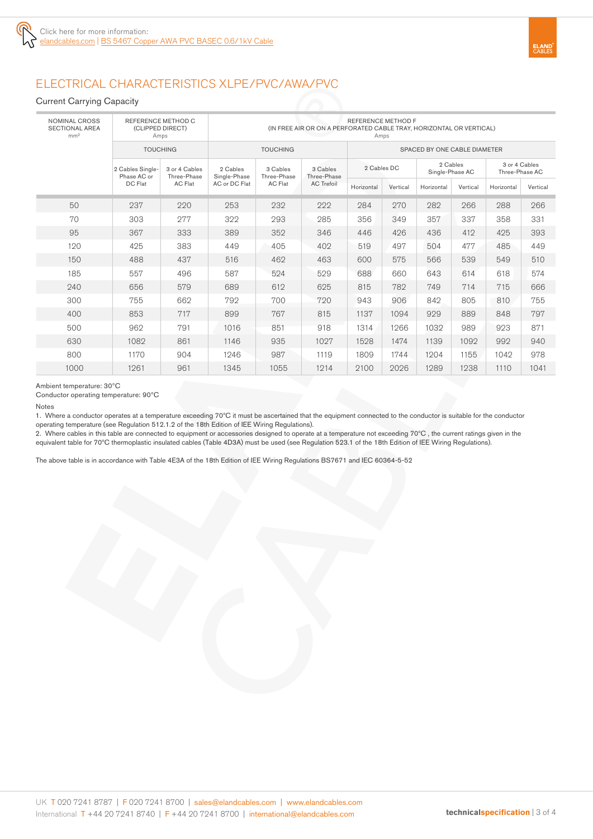

# ELECTRICAL CHARACTERISTICS XLPE/PVC/AWA/PVC

#### Current Carrying Capacity

| <b>NOMINAL CROSS</b><br><b>SECTIONAL AREA</b><br>mm <sup>2</sup> | REFERENCE METHOD C<br>(CLIPPED DIRECT)<br>Amps |                              | REFERENCE METHOD F<br>(IN FREE AIR OR ON A PERFORATED CABLE TRAY, HORIZONTAL OR VERTICAL)<br>Amps |                              |                                              |             |          |                             |          |                                 |          |  |  |  |
|------------------------------------------------------------------|------------------------------------------------|------------------------------|---------------------------------------------------------------------------------------------------|------------------------------|----------------------------------------------|-------------|----------|-----------------------------|----------|---------------------------------|----------|--|--|--|
|                                                                  | <b>TOUCHING</b>                                |                              |                                                                                                   | SPACED BY ONE CABLE DIAMETER |                                              |             |          |                             |          |                                 |          |  |  |  |
|                                                                  | 2 Cables Single-<br>Phase AC or                | 3 or 4 Cables<br>Three-Phase | 2 Cables<br>Single-Phase                                                                          | 3 Cables<br>Three-Phase      | 3 Cables<br>Three-Phase<br><b>AC Trefoil</b> | 2 Cables DC |          | 2 Cables<br>Single-Phase AC |          | 3 or 4 Cables<br>Three-Phase AC |          |  |  |  |
|                                                                  | DC Flat                                        | AC Flat                      | AC or DC Flat                                                                                     | AC Flat                      |                                              | Horizontal  | Vertical | Horizontal                  | Vertical | Horizontal                      | Vertical |  |  |  |
| 50                                                               | 237                                            | 220                          | 253                                                                                               | 232                          | 222                                          | 284         | 270      | 282                         | 266      | 288                             | 266      |  |  |  |
| 70                                                               | 303                                            | 277                          | 322                                                                                               | 293                          | 285                                          | 356         | 349      | 357                         | 337      | 358                             | 331      |  |  |  |
| 95                                                               | 367                                            | 333                          | 389                                                                                               | 352                          | 346                                          | 446         | 426      | 436                         | 412      | 425                             | 393      |  |  |  |
| 120                                                              | 425                                            | 383                          | 449                                                                                               | 405                          | 402                                          | 519         | 497      | 504                         | 477      | 485                             | 449      |  |  |  |
| 150                                                              | 488                                            | 437                          | 516                                                                                               | 462                          | 463                                          | 600         | 575      | 566                         | 539      | 549                             | 510      |  |  |  |
| 185                                                              | 557                                            | 496                          | 587                                                                                               | 524                          | 529                                          | 688         | 660      | 643                         | 614      | 618                             | 574      |  |  |  |
| 240                                                              | 656                                            | 579                          | 689                                                                                               | 612                          | 625                                          | 815         | 782      | 749                         | 714      | 715                             | 666      |  |  |  |
| 300                                                              | 755                                            | 662                          | 792                                                                                               | 700                          | 720                                          | 943         | 906      | 842                         | 805      | 810                             | 755      |  |  |  |
| 400                                                              | 853                                            | 717                          | 899                                                                                               | 767                          | 815                                          | 1137        | 1094     | 929                         | 889      | 848                             | 797      |  |  |  |
| 500                                                              | 962                                            | 791                          | 1016                                                                                              | 851                          | 918                                          | 1314        | 1266     | 1032                        | 989      | 923                             | 871      |  |  |  |
| 630                                                              | 1082                                           | 861                          | 1146                                                                                              | 935                          | 1027                                         | 1528        | 1474     | 1139                        | 1092     | 992                             | 940      |  |  |  |
| 800                                                              | 1170                                           | 904                          | 1246                                                                                              | 987                          | 1119                                         | 1809        | 1744     | 1204                        | 1155     | 1042                            | 978      |  |  |  |
| 1000                                                             | 1261                                           | 961                          | 1345                                                                                              | 1055                         | 1214                                         | 2100        | 2026     | 1289                        | 1238     | 1110                            | 1041     |  |  |  |

Ambient temperature: 30ºC

Conductor operating temperature: 90ºC

Notes

1. Where a conductor operates at a temperature exceeding 70ºC it must be ascertained that the equipment connected to the conductor is suitable for the conductor operating temperature (see Regulation 512.1.2 of the 18th Edition of IEE Wiring Regulations).

2. Where cables in this table are connected to equipment or accessories designed to operate at a temperature not exceeding 70ºC , the current ratings given in the equivalent table for 70ºC thermoplastic insulated cables (Table 4D3A) must be used (see Regulation 523.1 of the 18th Edition of IEE Wiring Regulations).

The above table is in accordance with Table 4E3A of the 18th Edition of IEE Wiring Regulations BS7671 and IEC 60364-5-52